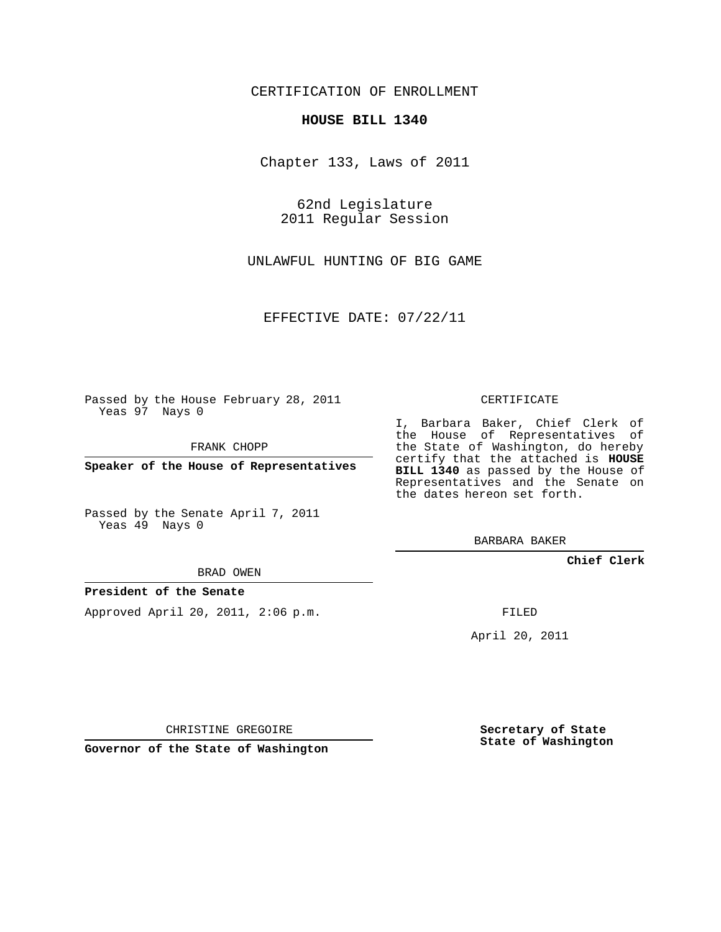## CERTIFICATION OF ENROLLMENT

### **HOUSE BILL 1340**

Chapter 133, Laws of 2011

62nd Legislature 2011 Regular Session

UNLAWFUL HUNTING OF BIG GAME

EFFECTIVE DATE: 07/22/11

Passed by the House February 28, 2011 Yeas 97 Nays 0

FRANK CHOPP

**Speaker of the House of Representatives**

Passed by the Senate April 7, 2011 Yeas 49 Nays 0

#### BRAD OWEN

### **President of the Senate**

Approved April 20, 2011, 2:06 p.m.

#### CERTIFICATE

I, Barbara Baker, Chief Clerk of the House of Representatives of the State of Washington, do hereby certify that the attached is **HOUSE BILL 1340** as passed by the House of Representatives and the Senate on the dates hereon set forth.

BARBARA BAKER

**Chief Clerk**

FILED

April 20, 2011

CHRISTINE GREGOIRE

**Governor of the State of Washington**

**Secretary of State State of Washington**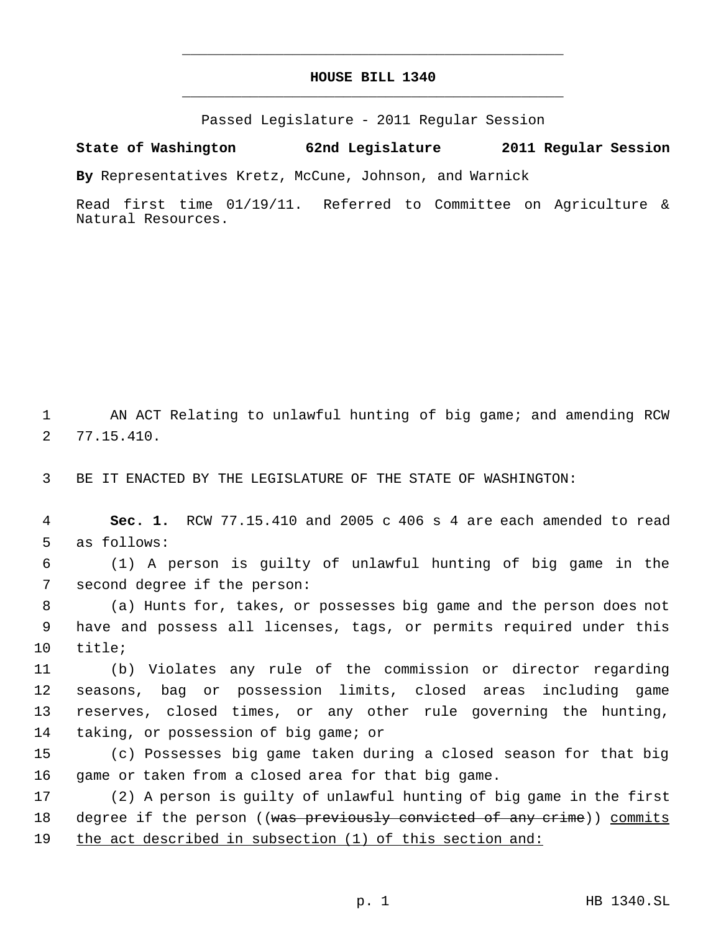# **HOUSE BILL 1340** \_\_\_\_\_\_\_\_\_\_\_\_\_\_\_\_\_\_\_\_\_\_\_\_\_\_\_\_\_\_\_\_\_\_\_\_\_\_\_\_\_\_\_\_\_

\_\_\_\_\_\_\_\_\_\_\_\_\_\_\_\_\_\_\_\_\_\_\_\_\_\_\_\_\_\_\_\_\_\_\_\_\_\_\_\_\_\_\_\_\_

Passed Legislature - 2011 Regular Session

**State of Washington 62nd Legislature 2011 Regular Session**

**By** Representatives Kretz, McCune, Johnson, and Warnick

Read first time 01/19/11. Referred to Committee on Agriculture & Natural Resources.

 AN ACT Relating to unlawful hunting of big game; and amending RCW 77.15.410.

BE IT ENACTED BY THE LEGISLATURE OF THE STATE OF WASHINGTON:

 **Sec. 1.** RCW 77.15.410 and 2005 c 406 s 4 are each amended to read as follows:

 (1) A person is guilty of unlawful hunting of big game in the second degree if the person:

 (a) Hunts for, takes, or possesses big game and the person does not have and possess all licenses, tags, or permits required under this title;

 (b) Violates any rule of the commission or director regarding seasons, bag or possession limits, closed areas including game reserves, closed times, or any other rule governing the hunting, taking, or possession of big game; or

 (c) Possesses big game taken during a closed season for that big game or taken from a closed area for that big game.

 (2) A person is guilty of unlawful hunting of big game in the first 18 degree if the person ((<del>was previously convicted of any crime</del>)) <u>commits</u> the act described in subsection (1) of this section and: